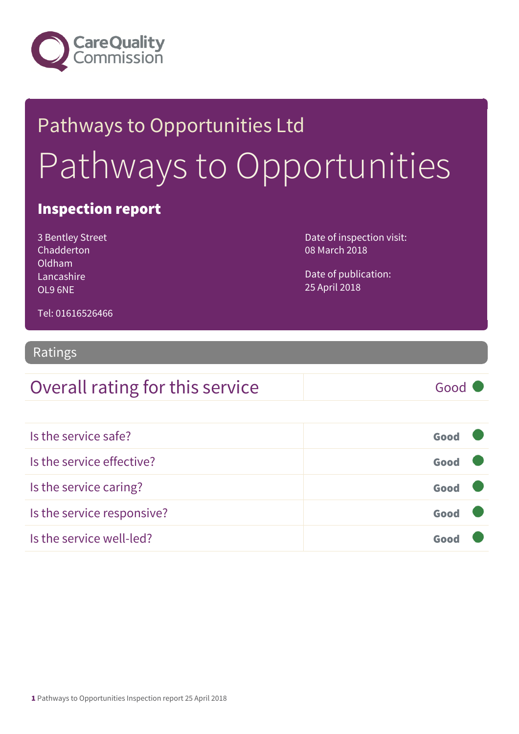

# Pathways to Opportunities Ltd Pathways to Opportunities

#### Inspection report

| 3 Bentley Street |
|------------------|
| Chadderton       |
| Oldham           |
| Lancashire       |
| O196NF           |

Date of inspection visit: 08 March 2018

Date of publication: 25 April 2018

Tel: 01616526466

#### Ratings

| Overall rating for this service | Good |
|---------------------------------|------|
|---------------------------------|------|

| Is the service safe?       | Good |  |
|----------------------------|------|--|
| Is the service effective?  | Good |  |
| Is the service caring?     | Good |  |
| Is the service responsive? | Good |  |
| Is the service well-led?   | Goo  |  |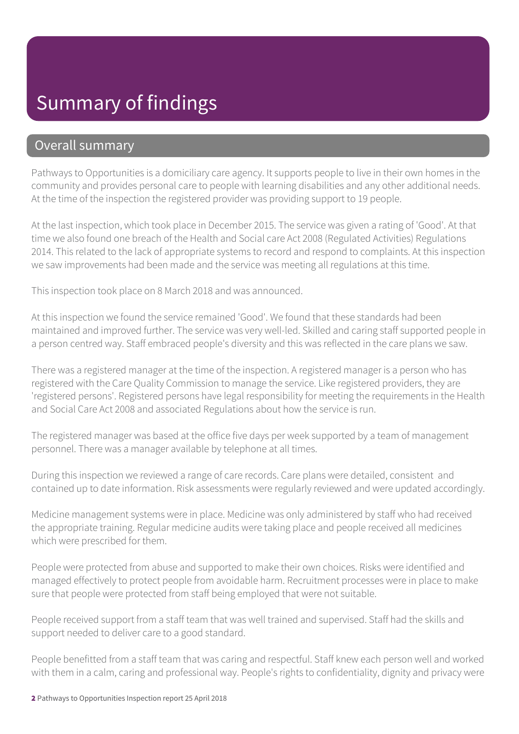#### Summary of findings

#### Overall summary

Pathways to Opportunities is a domiciliary care agency. It supports people to live in their own homes in the community and provides personal care to people with learning disabilities and any other additional needs. At the time of the inspection the registered provider was providing support to 19 people.

At the last inspection, which took place in December 2015. The service was given a rating of 'Good'. At that time we also found one breach of the Health and Social care Act 2008 (Regulated Activities) Regulations 2014. This related to the lack of appropriate systems to record and respond to complaints. At this inspection we saw improvements had been made and the service was meeting all regulations at this time.

This inspection took place on 8 March 2018 and was announced.

At this inspection we found the service remained 'Good'. We found that these standards had been maintained and improved further. The service was very well-led. Skilled and caring staff supported people in a person centred way. Staff embraced people's diversity and this was reflected in the care plans we saw.

There was a registered manager at the time of the inspection. A registered manager is a person who has registered with the Care Quality Commission to manage the service. Like registered providers, they are 'registered persons'. Registered persons have legal responsibility for meeting the requirements in the Health and Social Care Act 2008 and associated Regulations about how the service is run.

The registered manager was based at the office five days per week supported by a team of management personnel. There was a manager available by telephone at all times.

During this inspection we reviewed a range of care records. Care plans were detailed, consistent and contained up to date information. Risk assessments were regularly reviewed and were updated accordingly.

Medicine management systems were in place. Medicine was only administered by staff who had received the appropriate training. Regular medicine audits were taking place and people received all medicines which were prescribed for them.

People were protected from abuse and supported to make their own choices. Risks were identified and managed effectively to protect people from avoidable harm. Recruitment processes were in place to make sure that people were protected from staff being employed that were not suitable.

People received support from a staff team that was well trained and supervised. Staff had the skills and support needed to deliver care to a good standard.

People benefitted from a staff team that was caring and respectful. Staff knew each person well and worked with them in a calm, caring and professional way. People's rights to confidentiality, dignity and privacy were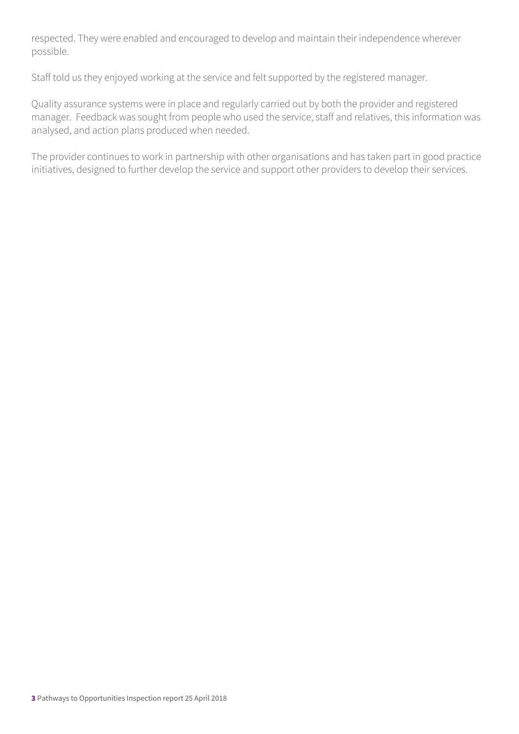respected. They were enabled and encouraged to develop and maintain their independence wherever possible.

Staff told us they enjoyed working at the service and felt supported by the registered manager.

Quality assurance systems were in place and regularly carried out by both the provider and registered manager. Feedback was sought from people who used the service, staff and relatives, this information was analysed, and action plans produced when needed.

The provider continues to work in partnership with other organisations and has taken part in good practice initiatives, designed to further develop the service and support other providers to develop their services.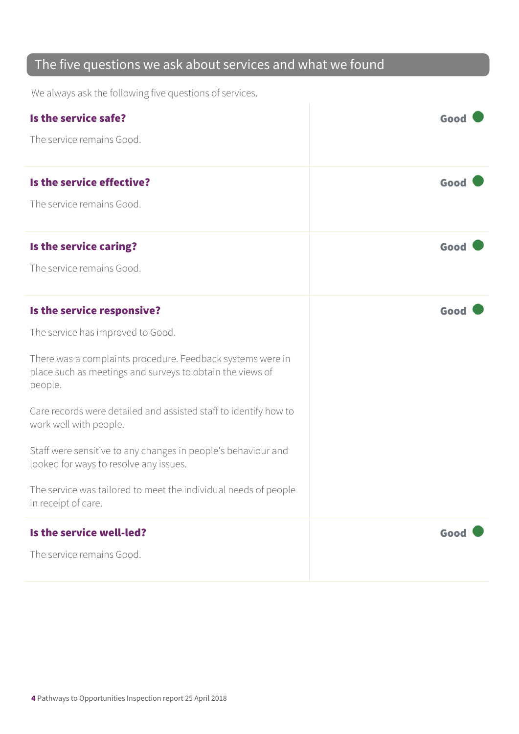#### The five questions we ask about services and what we found

We always ask the following five questions of services.

| Is the service safe?                                                                                                               | Good |
|------------------------------------------------------------------------------------------------------------------------------------|------|
| The service remains Good.                                                                                                          |      |
| Is the service effective?                                                                                                          | Good |
| The service remains Good.                                                                                                          |      |
| Is the service caring?                                                                                                             | Good |
| The service remains Good.                                                                                                          |      |
| Is the service responsive?                                                                                                         | Good |
| The service has improved to Good.                                                                                                  |      |
| There was a complaints procedure. Feedback systems were in<br>place such as meetings and surveys to obtain the views of<br>people. |      |
| Care records were detailed and assisted staff to identify how to<br>work well with people.                                         |      |
| Staff were sensitive to any changes in people's behaviour and<br>looked for ways to resolve any issues.                            |      |
| The service was tailored to meet the individual needs of people<br>in receipt of care.                                             |      |
| Is the service well-led?                                                                                                           | Good |
| The service remains Good.                                                                                                          |      |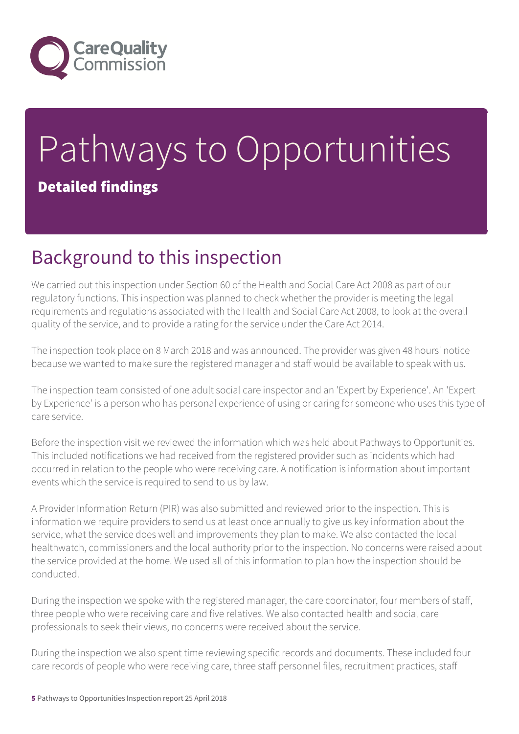

## Pathways to Opportunities Detailed findings

### Background to this inspection

We carried out this inspection under Section 60 of the Health and Social Care Act 2008 as part of our regulatory functions. This inspection was planned to check whether the provider is meeting the legal requirements and regulations associated with the Health and Social Care Act 2008, to look at the overall quality of the service, and to provide a rating for the service under the Care Act 2014.

The inspection took place on 8 March 2018 and was announced. The provider was given 48 hours' notice because we wanted to make sure the registered manager and staff would be available to speak with us.

The inspection team consisted of one adult social care inspector and an 'Expert by Experience'. An 'Expert by Experience' is a person who has personal experience of using or caring for someone who uses this type of care service.

Before the inspection visit we reviewed the information which was held about Pathways to Opportunities. This included notifications we had received from the registered provider such as incidents which had occurred in relation to the people who were receiving care. A notification is information about important events which the service is required to send to us by law.

A Provider Information Return (PIR) was also submitted and reviewed prior to the inspection. This is information we require providers to send us at least once annually to give us key information about the service, what the service does well and improvements they plan to make. We also contacted the local healthwatch, commissioners and the local authority prior to the inspection. No concerns were raised about the service provided at the home. We used all of this information to plan how the inspection should be conducted.

During the inspection we spoke with the registered manager, the care coordinator, four members of staff, three people who were receiving care and five relatives. We also contacted health and social care professionals to seek their views, no concerns were received about the service.

During the inspection we also spent time reviewing specific records and documents. These included four care records of people who were receiving care, three staff personnel files, recruitment practices, staff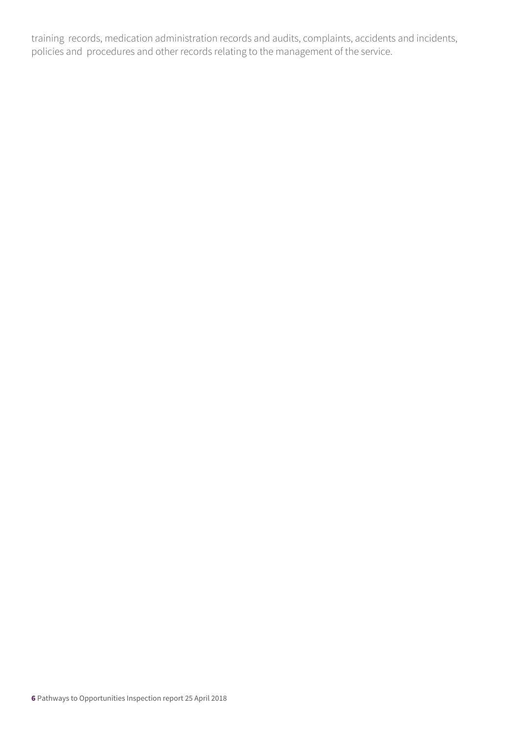training records, medication administration records and audits, complaints, accidents and incidents, policies and procedures and other records relating to the management of the service.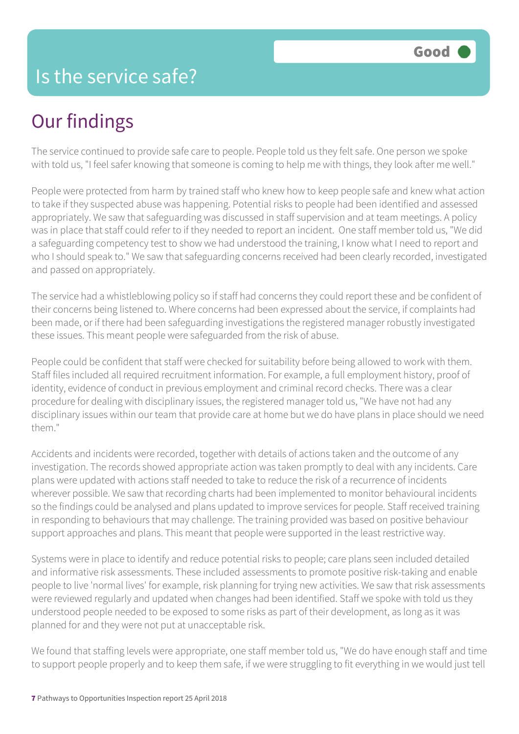#### Is the service safe?

### Our findings

The service continued to provide safe care to people. People told us they felt safe. One person we spoke with told us, "I feel safer knowing that someone is coming to help me with things, they look after me well."

People were protected from harm by trained staff who knew how to keep people safe and knew what action to take if they suspected abuse was happening. Potential risks to people had been identified and assessed appropriately. We saw that safeguarding was discussed in staff supervision and at team meetings. A policy was in place that staff could refer to if they needed to report an incident. One staff member told us, "We did a safeguarding competency test to show we had understood the training, I know what I need to report and who I should speak to." We saw that safeguarding concerns received had been clearly recorded, investigated and passed on appropriately.

The service had a whistleblowing policy so if staff had concerns they could report these and be confident of their concerns being listened to. Where concerns had been expressed about the service, if complaints had been made, or if there had been safeguarding investigations the registered manager robustly investigated these issues. This meant people were safeguarded from the risk of abuse.

People could be confident that staff were checked for suitability before being allowed to work with them. Staff files included all required recruitment information. For example, a full employment history, proof of identity, evidence of conduct in previous employment and criminal record checks. There was a clear procedure for dealing with disciplinary issues, the registered manager told us, "We have not had any disciplinary issues within our team that provide care at home but we do have plans in place should we need them."

Accidents and incidents were recorded, together with details of actions taken and the outcome of any investigation. The records showed appropriate action was taken promptly to deal with any incidents. Care plans were updated with actions staff needed to take to reduce the risk of a recurrence of incidents wherever possible. We saw that recording charts had been implemented to monitor behavioural incidents so the findings could be analysed and plans updated to improve services for people. Staff received training in responding to behaviours that may challenge. The training provided was based on positive behaviour support approaches and plans. This meant that people were supported in the least restrictive way.

Systems were in place to identify and reduce potential risks to people; care plans seen included detailed and informative risk assessments. These included assessments to promote positive risk-taking and enable people to live 'normal lives' for example, risk planning for trying new activities. We saw that risk assessments were reviewed regularly and updated when changes had been identified. Staff we spoke with told us they understood people needed to be exposed to some risks as part of their development, as long as it was planned for and they were not put at unacceptable risk.

We found that staffing levels were appropriate, one staff member told us, "We do have enough staff and time to support people properly and to keep them safe, if we were struggling to fit everything in we would just tell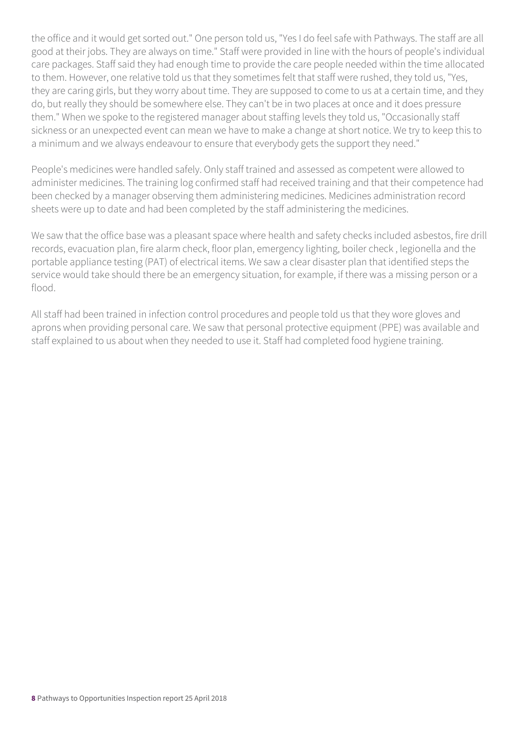the office and it would get sorted out." One person told us, "Yes I do feel safe with Pathways. The staff are all good at their jobs. They are always on time." Staff were provided in line with the hours of people's individual care packages. Staff said they had enough time to provide the care people needed within the time allocated to them. However, one relative told us that they sometimes felt that staff were rushed, they told us, "Yes, they are caring girls, but they worry about time. They are supposed to come to us at a certain time, and they do, but really they should be somewhere else. They can't be in two places at once and it does pressure them." When we spoke to the registered manager about staffing levels they told us, "Occasionally staff sickness or an unexpected event can mean we have to make a change at short notice. We try to keep this to a minimum and we always endeavour to ensure that everybody gets the support they need."

People's medicines were handled safely. Only staff trained and assessed as competent were allowed to administer medicines. The training log confirmed staff had received training and that their competence had been checked by a manager observing them administering medicines. Medicines administration record sheets were up to date and had been completed by the staff administering the medicines.

We saw that the office base was a pleasant space where health and safety checks included asbestos, fire drill records, evacuation plan, fire alarm check, floor plan, emergency lighting, boiler check , legionella and the portable appliance testing (PAT) of electrical items. We saw a clear disaster plan that identified steps the service would take should there be an emergency situation, for example, if there was a missing person or a flood.

All staff had been trained in infection control procedures and people told us that they wore gloves and aprons when providing personal care. We saw that personal protective equipment (PPE) was available and staff explained to us about when they needed to use it. Staff had completed food hygiene training.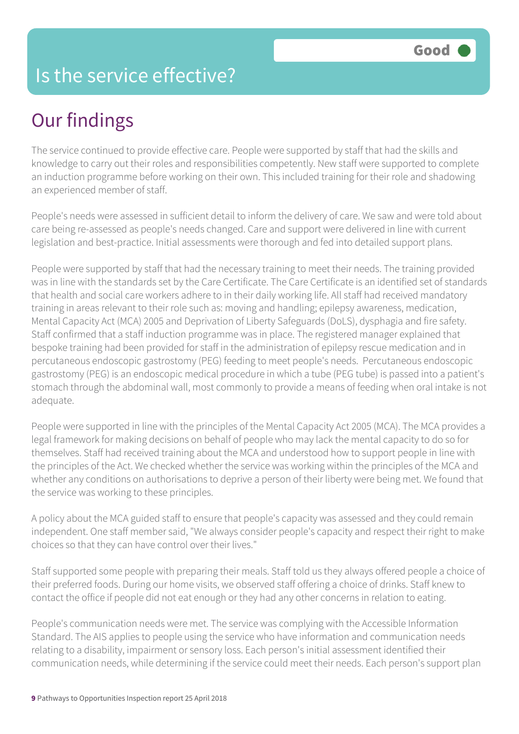#### Is the service effective?

## Our findings

The service continued to provide effective care. People were supported by staff that had the skills and knowledge to carry out their roles and responsibilities competently. New staff were supported to complete an induction programme before working on their own. This included training for their role and shadowing an experienced member of staff.

People's needs were assessed in sufficient detail to inform the delivery of care. We saw and were told about care being re-assessed as people's needs changed. Care and support were delivered in line with current legislation and best-practice. Initial assessments were thorough and fed into detailed support plans.

People were supported by staff that had the necessary training to meet their needs. The training provided was in line with the standards set by the Care Certificate. The Care Certificate is an identified set of standards that health and social care workers adhere to in their daily working life. All staff had received mandatory training in areas relevant to their role such as: moving and handling; epilepsy awareness, medication, Mental Capacity Act (MCA) 2005 and Deprivation of Liberty Safeguards (DoLS), dysphagia and fire safety. Staff confirmed that a staff induction programme was in place. The registered manager explained that bespoke training had been provided for staff in the administration of epilepsy rescue medication and in percutaneous endoscopic gastrostomy (PEG) feeding to meet people's needs. Percutaneous endoscopic gastrostomy (PEG) is an endoscopic medical procedure in which a tube (PEG tube) is passed into a patient's stomach through the abdominal wall, most commonly to provide a means of feeding when oral intake is not adequate.

People were supported in line with the principles of the Mental Capacity Act 2005 (MCA). The MCA provides a legal framework for making decisions on behalf of people who may lack the mental capacity to do so for themselves. Staff had received training about the MCA and understood how to support people in line with the principles of the Act. We checked whether the service was working within the principles of the MCA and whether any conditions on authorisations to deprive a person of their liberty were being met. We found that the service was working to these principles.

A policy about the MCA guided staff to ensure that people's capacity was assessed and they could remain independent. One staff member said, "We always consider people's capacity and respect their right to make choices so that they can have control over their lives."

Staff supported some people with preparing their meals. Staff told us they always offered people a choice of their preferred foods. During our home visits, we observed staff offering a choice of drinks. Staff knew to contact the office if people did not eat enough or they had any other concerns in relation to eating.

People's communication needs were met. The service was complying with the Accessible Information Standard. The AIS applies to people using the service who have information and communication needs relating to a disability, impairment or sensory loss. Each person's initial assessment identified their communication needs, while determining if the service could meet their needs. Each person's support plan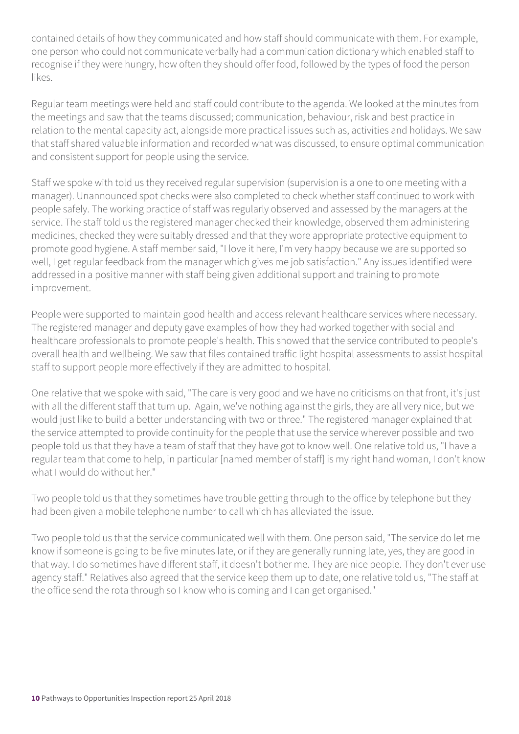contained details of how they communicated and how staff should communicate with them. For example, one person who could not communicate verbally had a communication dictionary which enabled staff to recognise if they were hungry, how often they should offer food, followed by the types of food the person likes.

Regular team meetings were held and staff could contribute to the agenda. We looked at the minutes from the meetings and saw that the teams discussed; communication, behaviour, risk and best practice in relation to the mental capacity act, alongside more practical issues such as, activities and holidays. We saw that staff shared valuable information and recorded what was discussed, to ensure optimal communication and consistent support for people using the service.

Staff we spoke with told us they received regular supervision (supervision is a one to one meeting with a manager). Unannounced spot checks were also completed to check whether staff continued to work with people safely. The working practice of staff was regularly observed and assessed by the managers at the service. The staff told us the registered manager checked their knowledge, observed them administering medicines, checked they were suitably dressed and that they wore appropriate protective equipment to promote good hygiene. A staff member said, "I love it here, I'm very happy because we are supported so well, I get regular feedback from the manager which gives me job satisfaction." Any issues identified were addressed in a positive manner with staff being given additional support and training to promote improvement.

People were supported to maintain good health and access relevant healthcare services where necessary. The registered manager and deputy gave examples of how they had worked together with social and healthcare professionals to promote people's health. This showed that the service contributed to people's overall health and wellbeing. We saw that files contained traffic light hospital assessments to assist hospital staff to support people more effectively if they are admitted to hospital.

One relative that we spoke with said, "The care is very good and we have no criticisms on that front, it's just with all the different staff that turn up. Again, we've nothing against the girls, they are all very nice, but we would just like to build a better understanding with two or three." The registered manager explained that the service attempted to provide continuity for the people that use the service wherever possible and two people told us that they have a team of staff that they have got to know well. One relative told us, "I have a regular team that come to help, in particular [named member of staff] is my right hand woman, I don't know what I would do without her."

Two people told us that they sometimes have trouble getting through to the office by telephone but they had been given a mobile telephone number to call which has alleviated the issue.

Two people told us that the service communicated well with them. One person said, "The service do let me know if someone is going to be five minutes late, or if they are generally running late, yes, they are good in that way. I do sometimes have different staff, it doesn't bother me. They are nice people. They don't ever use agency staff." Relatives also agreed that the service keep them up to date, one relative told us, "The staff at the office send the rota through so I know who is coming and I can get organised."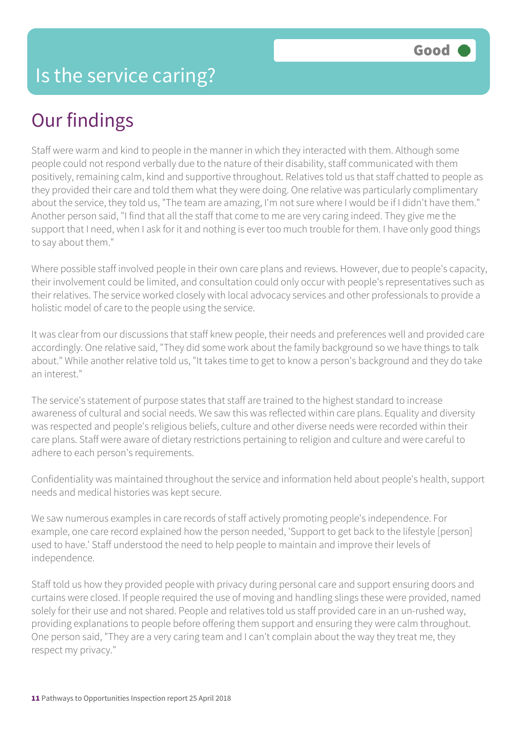### Our findings

Staff were warm and kind to people in the manner in which they interacted with them. Although some people could not respond verbally due to the nature of their disability, staff communicated with them positively, remaining calm, kind and supportive throughout. Relatives told us that staff chatted to people as they provided their care and told them what they were doing. One relative was particularly complimentary about the service, they told us, "The team are amazing, I'm not sure where I would be if I didn't have them." Another person said, "I find that all the staff that come to me are very caring indeed. They give me the support that I need, when I ask for it and nothing is ever too much trouble for them. I have only good things to say about them."

Where possible staff involved people in their own care plans and reviews. However, due to people's capacity, their involvement could be limited, and consultation could only occur with people's representatives such as their relatives. The service worked closely with local advocacy services and other professionals to provide a holistic model of care to the people using the service.

It was clear from our discussions that staff knew people, their needs and preferences well and provided care accordingly. One relative said, "They did some work about the family background so we have things to talk about." While another relative told us, "It takes time to get to know a person's background and they do take an interest."

The service's statement of purpose states that staff are trained to the highest standard to increase awareness of cultural and social needs. We saw this was reflected within care plans. Equality and diversity was respected and people's religious beliefs, culture and other diverse needs were recorded within their care plans. Staff were aware of dietary restrictions pertaining to religion and culture and were careful to adhere to each person's requirements.

Confidentiality was maintained throughout the service and information held about people's health, support needs and medical histories was kept secure.

We saw numerous examples in care records of staff actively promoting people's independence. For example, one care record explained how the person needed, 'Support to get back to the lifestyle [person] used to have.' Staff understood the need to help people to maintain and improve their levels of independence.

Staff told us how they provided people with privacy during personal care and support ensuring doors and curtains were closed. If people required the use of moving and handling slings these were provided, named solely for their use and not shared. People and relatives told us staff provided care in an un-rushed way, providing explanations to people before offering them support and ensuring they were calm throughout. One person said, "They are a very caring team and I can't complain about the way they treat me, they respect my privacy."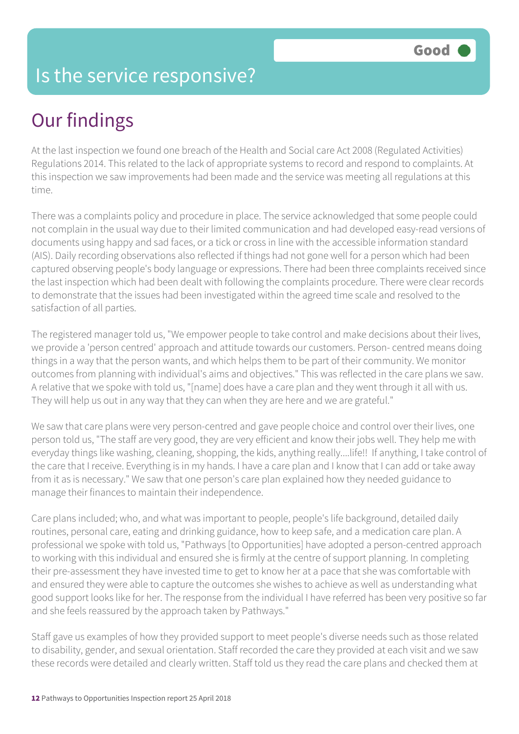#### Is the service responsive?

### Our findings

At the last inspection we found one breach of the Health and Social care Act 2008 (Regulated Activities) Regulations 2014. This related to the lack of appropriate systems to record and respond to complaints. At this inspection we saw improvements had been made and the service was meeting all regulations at this time.

There was a complaints policy and procedure in place. The service acknowledged that some people could not complain in the usual way due to their limited communication and had developed easy-read versions of documents using happy and sad faces, or a tick or cross in line with the accessible information standard (AIS). Daily recording observations also reflected if things had not gone well for a person which had been captured observing people's body language or expressions. There had been three complaints received since the last inspection which had been dealt with following the complaints procedure. There were clear records to demonstrate that the issues had been investigated within the agreed time scale and resolved to the satisfaction of all parties.

The registered manager told us, "We empower people to take control and make decisions about their lives, we provide a 'person centred' approach and attitude towards our customers. Person- centred means doing things in a way that the person wants, and which helps them to be part of their community. We monitor outcomes from planning with individual's aims and objectives." This was reflected in the care plans we saw. A relative that we spoke with told us, "[name] does have a care plan and they went through it all with us. They will help us out in any way that they can when they are here and we are grateful."

We saw that care plans were very person-centred and gave people choice and control over their lives, one person told us, "The staff are very good, they are very efficient and know their jobs well. They help me with everyday things like washing, cleaning, shopping, the kids, anything really....life!! If anything, I take control of the care that I receive. Everything is in my hands. I have a care plan and I know that I can add or take away from it as is necessary." We saw that one person's care plan explained how they needed guidance to manage their finances to maintain their independence.

Care plans included; who, and what was important to people, people's life background, detailed daily routines, personal care, eating and drinking guidance, how to keep safe, and a medication care plan. A professional we spoke with told us, "Pathways [to Opportunities] have adopted a person-centred approach to working with this individual and ensured she is firmly at the centre of support planning. In completing their pre-assessment they have invested time to get to know her at a pace that she was comfortable with and ensured they were able to capture the outcomes she wishes to achieve as well as understanding what good support looks like for her. The response from the individual I have referred has been very positive so far and she feels reassured by the approach taken by Pathways."

Staff gave us examples of how they provided support to meet people's diverse needs such as those related to disability, gender, and sexual orientation. Staff recorded the care they provided at each visit and we saw these records were detailed and clearly written. Staff told us they read the care plans and checked them at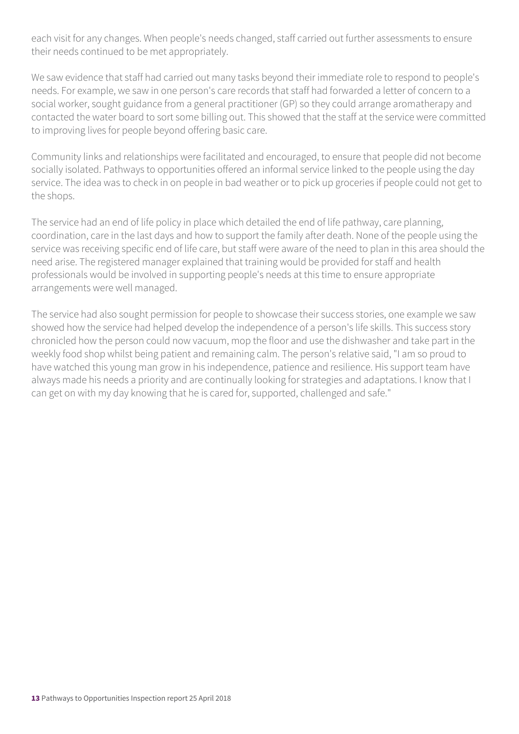each visit for any changes. When people's needs changed, staff carried out further assessments to ensure their needs continued to be met appropriately.

We saw evidence that staff had carried out many tasks beyond their immediate role to respond to people's needs. For example, we saw in one person's care records that staff had forwarded a letter of concern to a social worker, sought guidance from a general practitioner (GP) so they could arrange aromatherapy and contacted the water board to sort some billing out. This showed that the staff at the service were committed to improving lives for people beyond offering basic care.

Community links and relationships were facilitated and encouraged, to ensure that people did not become socially isolated. Pathways to opportunities offered an informal service linked to the people using the day service. The idea was to check in on people in bad weather or to pick up groceries if people could not get to the shops.

The service had an end of life policy in place which detailed the end of life pathway, care planning, coordination, care in the last days and how to support the family after death. None of the people using the service was receiving specific end of life care, but staff were aware of the need to plan in this area should the need arise. The registered manager explained that training would be provided for staff and health professionals would be involved in supporting people's needs at this time to ensure appropriate arrangements were well managed.

The service had also sought permission for people to showcase their success stories, one example we saw showed how the service had helped develop the independence of a person's life skills. This success story chronicled how the person could now vacuum, mop the floor and use the dishwasher and take part in the weekly food shop whilst being patient and remaining calm. The person's relative said, "I am so proud to have watched this young man grow in his independence, patience and resilience. His support team have always made his needs a priority and are continually looking for strategies and adaptations. I know that I can get on with my day knowing that he is cared for, supported, challenged and safe."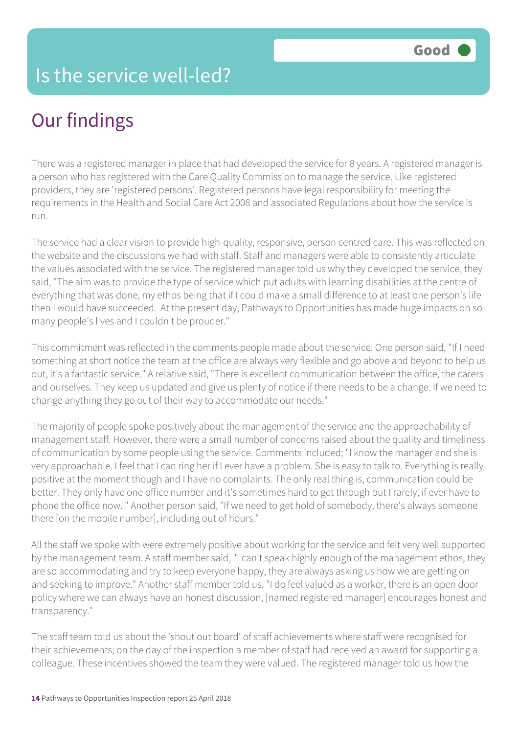#### Is the service well-led?

### Our findings

There was a registered manager in place that had developed the service for 8 years. A registered manager is a person who has registered with the Care Quality Commission to manage the service. Like registered providers, they are 'registered persons'. Registered persons have legal responsibility for meeting the requirements in the Health and Social Care Act 2008 and associated Regulations about how the service is run.

The service had a clear vision to provide high-quality, responsive, person centred care. This was reflected on the website and the discussions we had with staff. Staff and managers were able to consistently articulate the values associated with the service. The registered manager told us why they developed the service, they said, "The aim was to provide the type of service which put adults with learning disabilities at the centre of everything that was done, my ethos being that if I could make a small difference to at least one person's life then I would have succeeded. At the present day, Pathways to Opportunities has made huge impacts on so many people's lives and I couldn't be prouder."

This commitment was reflected in the comments people made about the service. One person said, "If I need something at short notice the team at the office are always very flexible and go above and beyond to help us out, it's a fantastic service." A relative said, "There is excellent communication between the office, the carers and ourselves. They keep us updated and give us plenty of notice if there needs to be a change. If we need to change anything they go out of their way to accommodate our needs."

The majority of people spoke positively about the management of the service and the approachability of management staff. However, there were a small number of concerns raised about the quality and timeliness of communication by some people using the service. Comments included; "I know the manager and she is very approachable. I feel that I can ring her if I ever have a problem. She is easy to talk to. Everything is really positive at the moment though and I have no complaints. The only real thing is, communication could be better. They only have one office number and it's sometimes hard to get through but I rarely, if ever have to phone the office now. " Another person said, "If we need to get hold of somebody, there's always someone there [on the mobile number], including out of hours."

All the staff we spoke with were extremely positive about working for the service and felt very well supported by the management team. A staff member said, "I can't speak highly enough of the management ethos, they are so accommodating and try to keep everyone happy, they are always asking us how we are getting on and seeking to improve." Another staff member told us, "I do feel valued as a worker, there is an open door policy where we can always have an honest discussion, [named registered manager] encourages honest and transparency."

The staff team told us about the 'shout out board' of staff achievements where staff were recognised for their achievements; on the day of the inspection a member of staff had received an award for supporting a colleague. These incentives showed the team they were valued. The registered manager told us how the